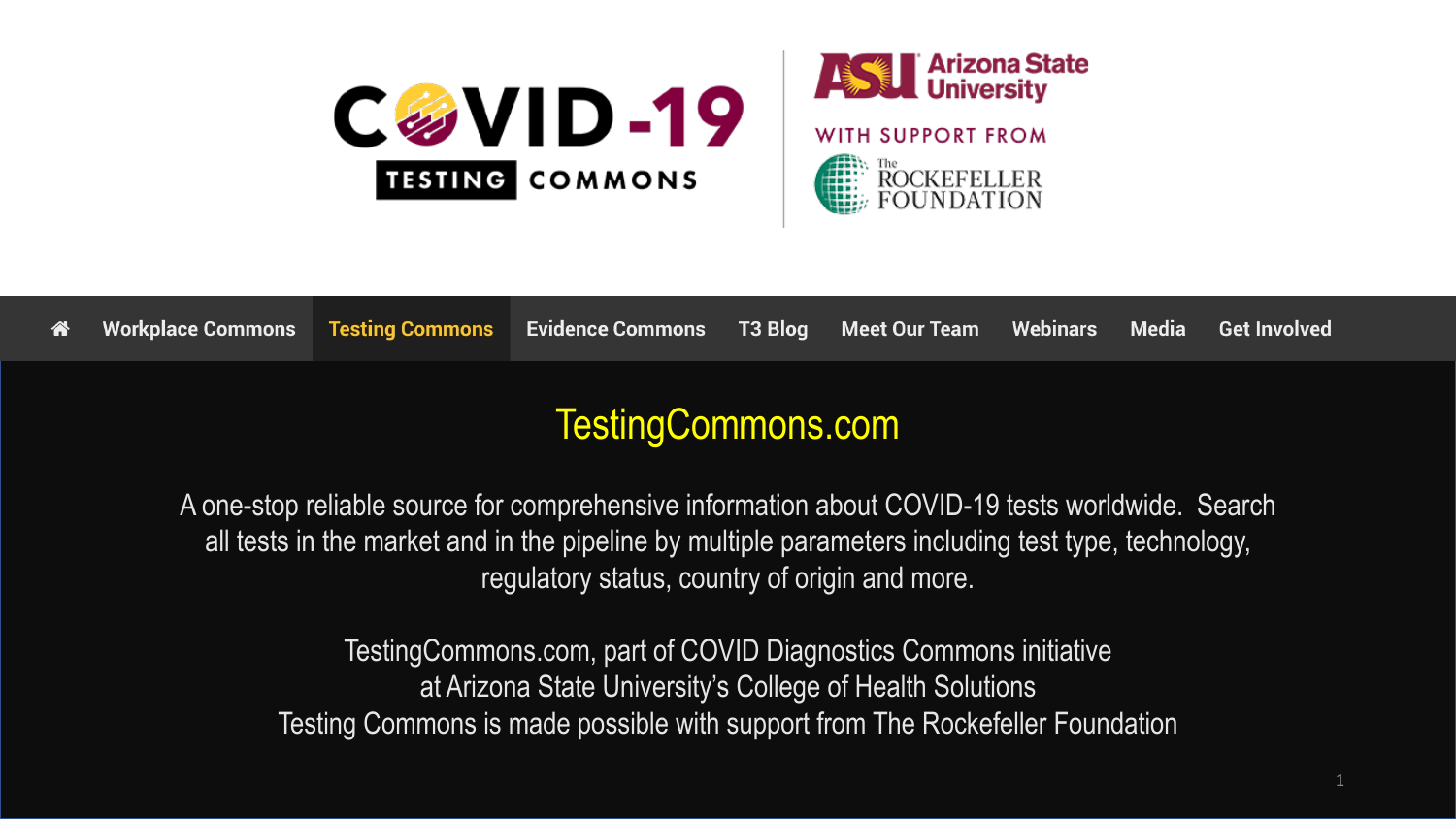



#### TestingCommons.com

A one-stop reliable source for comprehensive information about COVID-19 tests worldwide. Search all tests in the market and in the pipeline by multiple parameters including test type, technology, regulatory status, country of origin and more.

TestingCommons.com, part of COVID Diagnostics Commons initiative at Arizona State University's College of Health Solutions Testing Commons is made possible with support from The Rockefeller Foundation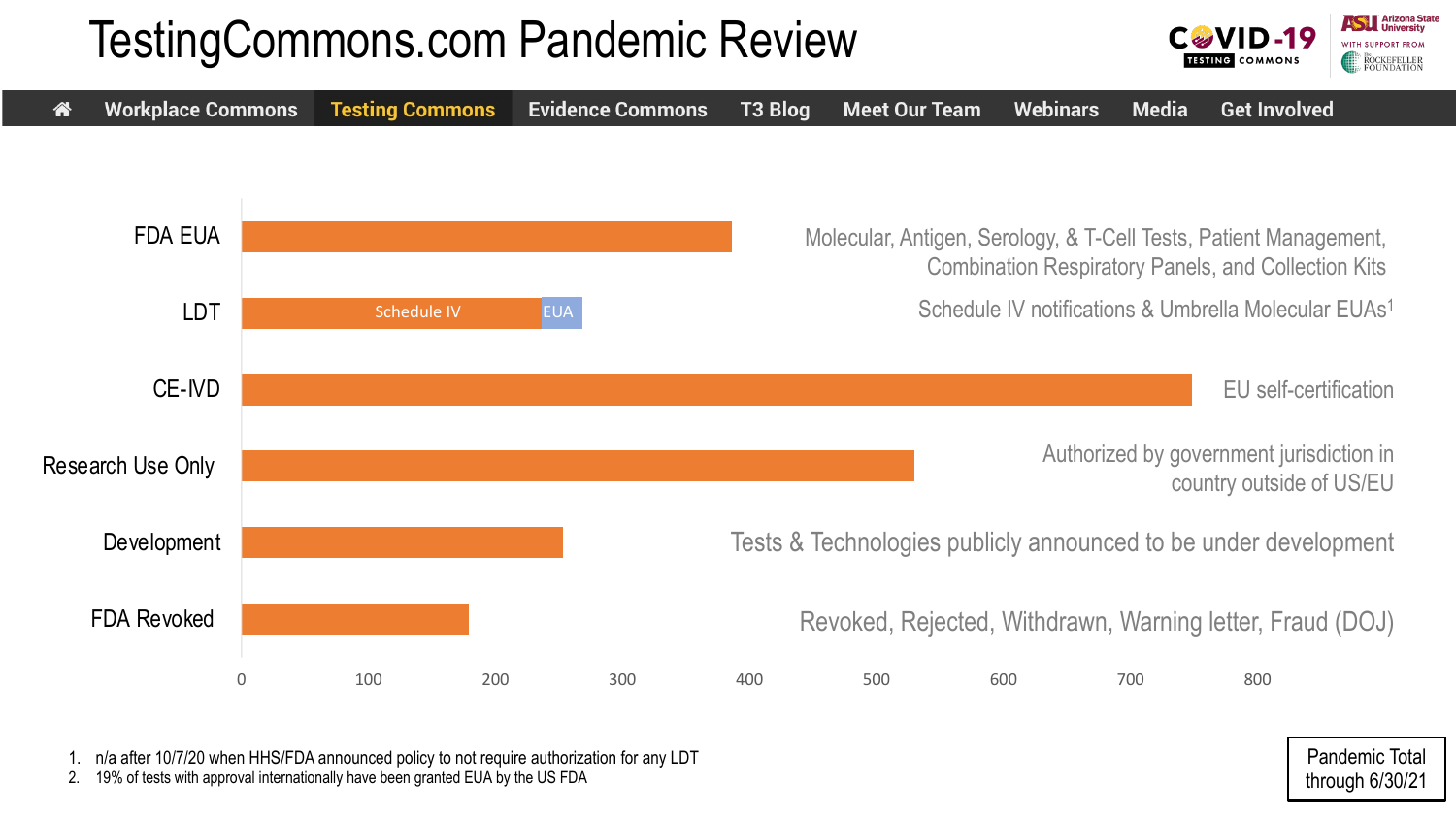### TestingCommons.com Pandemic Review





1. n/a after 10/7/20 when HHS/FDA announced policy to not require authorization for any LDT

2. 19% of tests with approval internationally have been granted EUA by the US FDA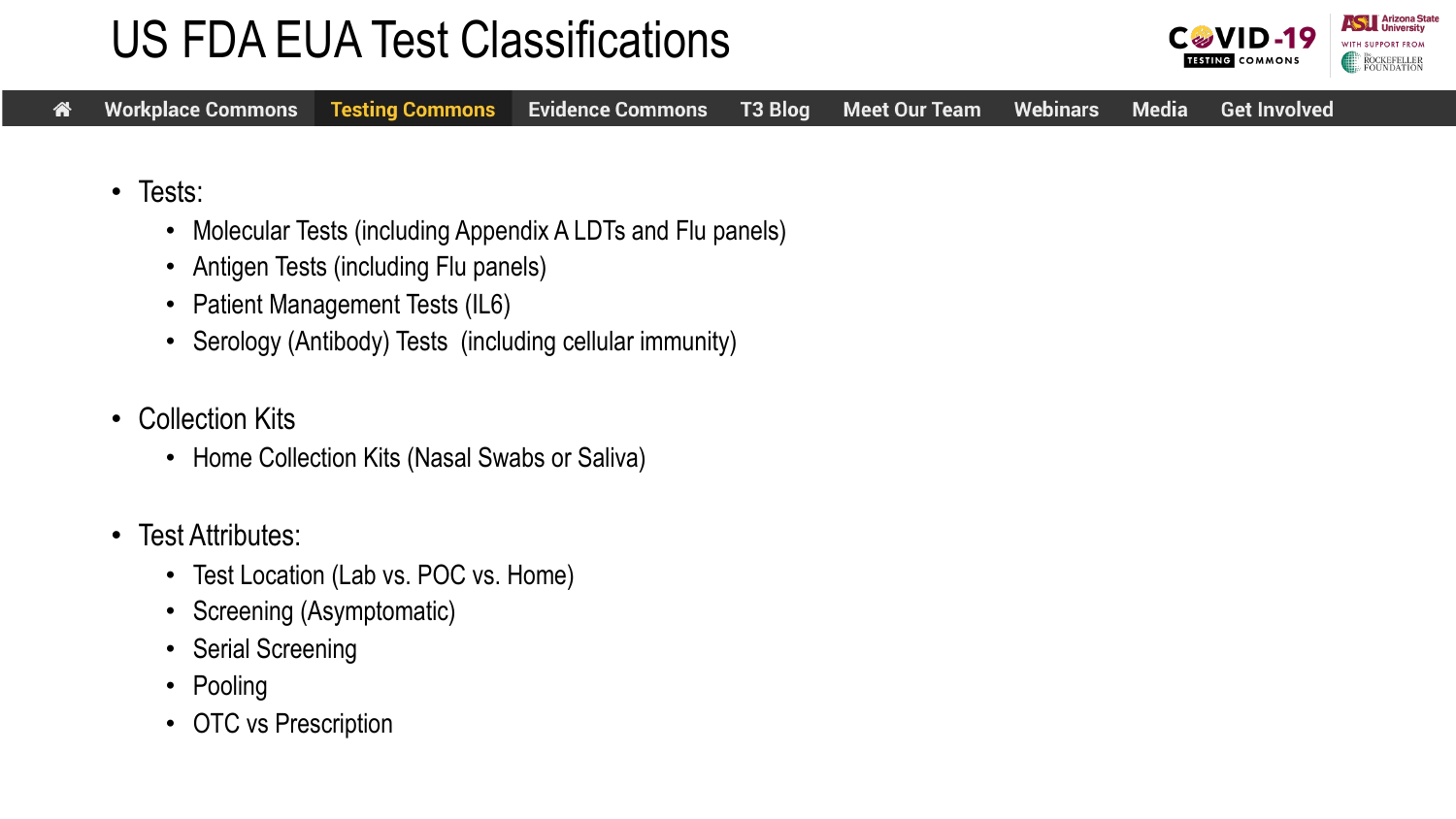### US FDA EUA Test Classifications



- Tests:
	- Molecular Tests (including Appendix A LDTs and Flu panels)
	- Antigen Tests (including Flu panels)
	- Patient Management Tests (IL6)
	- Serology (Antibody) Tests (including cellular immunity)
- Collection Kits
	- Home Collection Kits (Nasal Swabs or Saliva)
- Test Attributes:
	- Test Location (Lab vs. POC vs. Home)
	- Screening (Asymptomatic)
	- Serial Screening
	- Pooling
	- OTC vs Prescription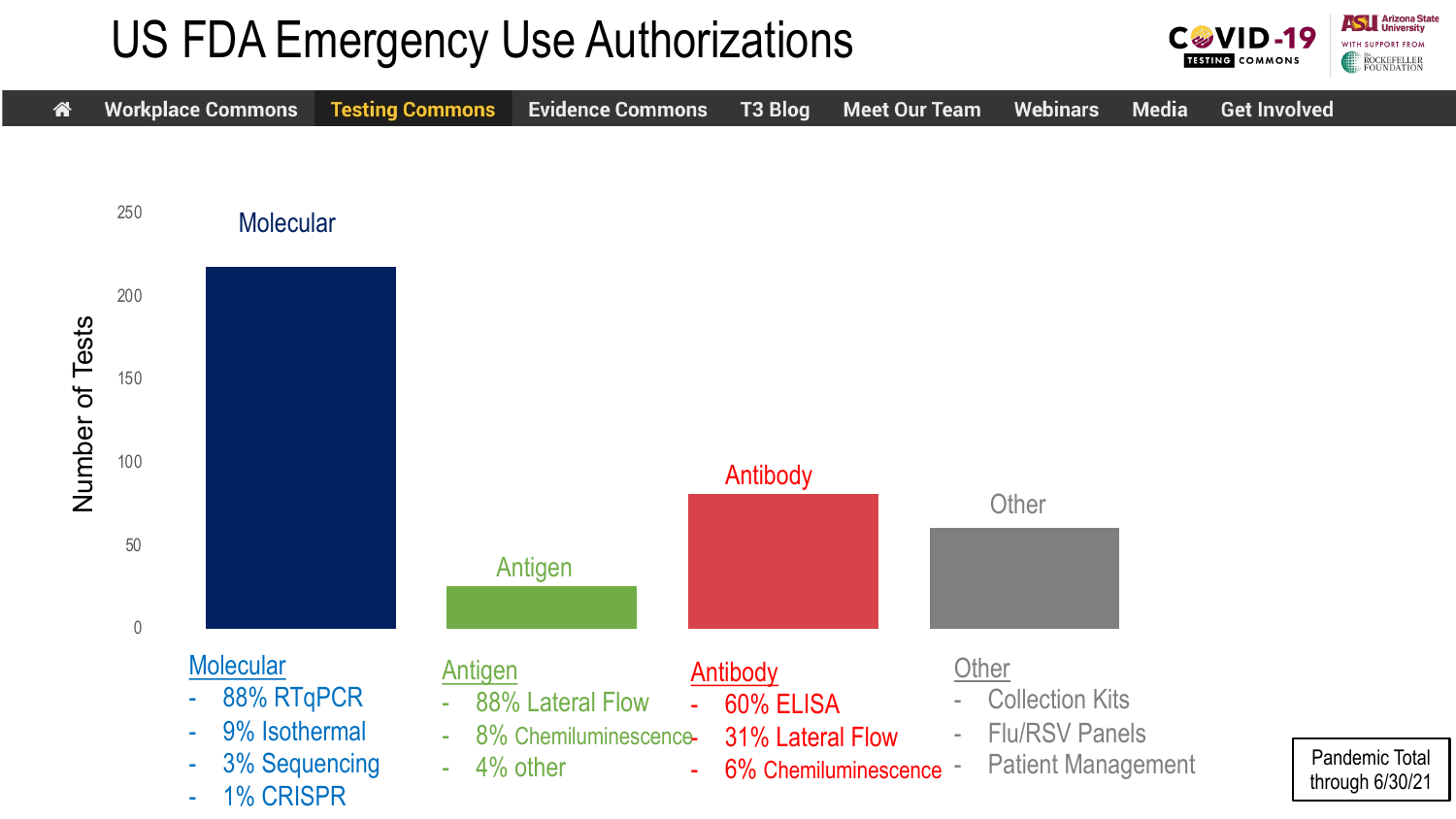### US FDA Emergency Use Authorizations



**ASTERNATION** University

WITH SUPPORT FROM

**CGVID-19** 

**TESTING COMMONS**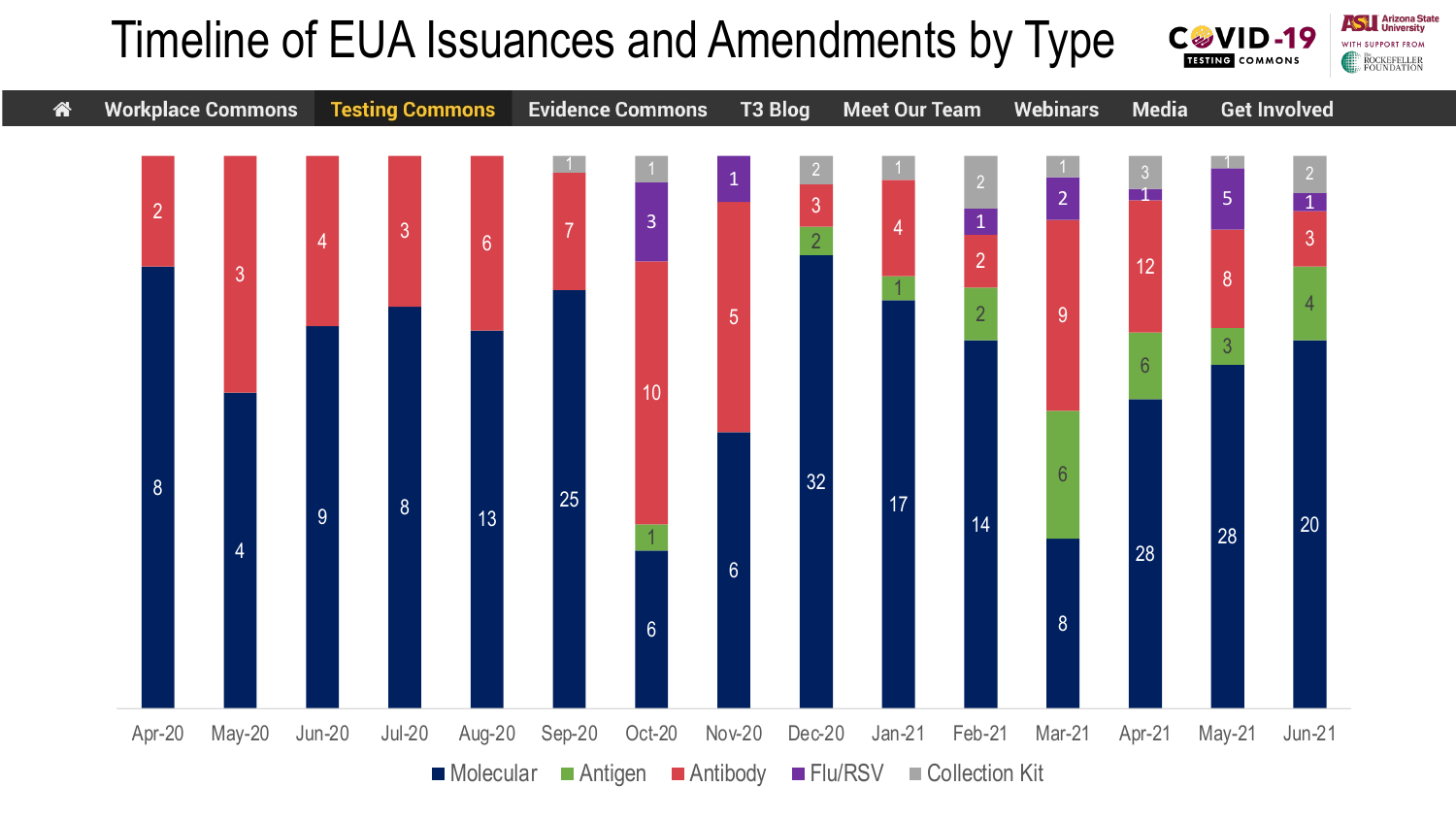#### Timeline of EUA Issuances and Amendments by Type **C&VID-19 TESTING COMMONS**

**Arizona State** 

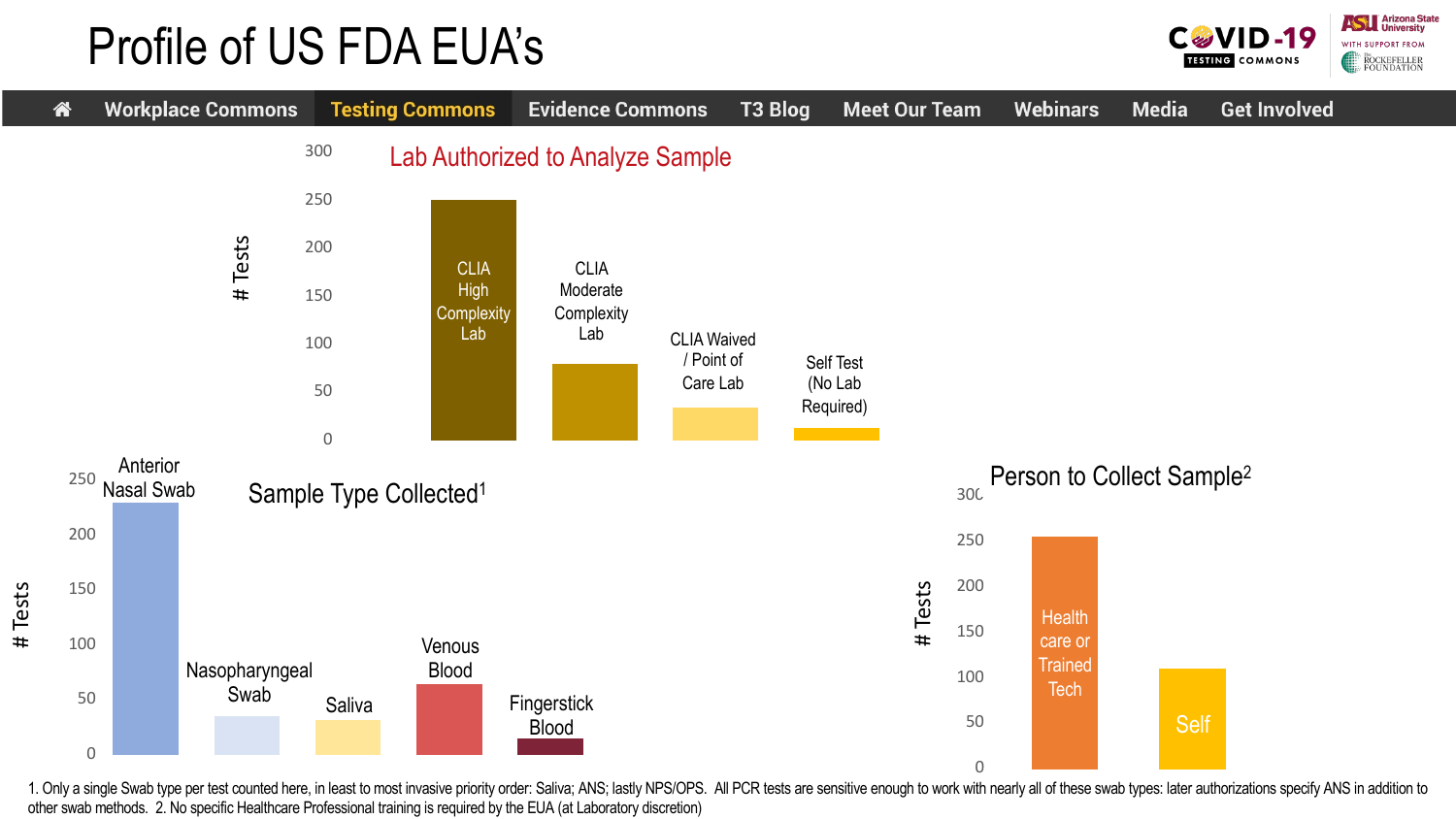#### Profile of US FDA EUA's





1. Only a single Swab type per test counted here, in least to most invasive priority order: Saliva; ANS; lastly NPS/OPS. All PCR tests are sensitive enough to work with nearly all of these swab types: later authorizations other swab methods. 2. No specific Healthcare Professional training is required by the EUA (at Laboratory discretion)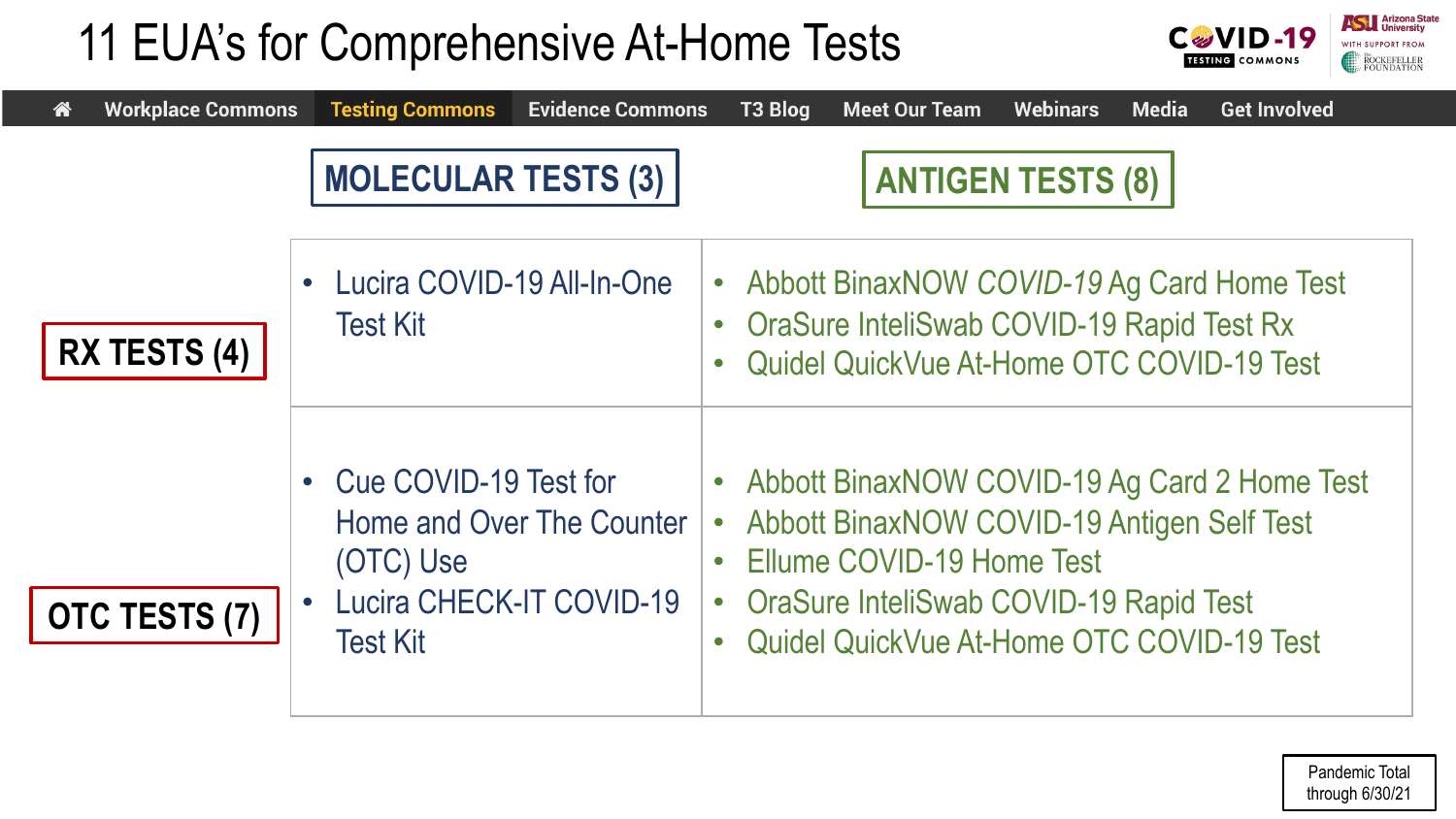## 11 EUA's for Comprehensive At-Home Tests



| <b>Workplace Commons</b><br>谷 | <b>Testing Commons</b><br><b>Evidence Commons</b>                                                                     | T3 Blog<br><b>Webinars</b><br><b>Media</b><br><b>Get Involved</b><br><b>Meet Our Team</b>                                                                                                                                                                               |
|-------------------------------|-----------------------------------------------------------------------------------------------------------------------|-------------------------------------------------------------------------------------------------------------------------------------------------------------------------------------------------------------------------------------------------------------------------|
|                               | <b>MOLECULAR TESTS (3)</b>                                                                                            | <b>ANTIGEN TESTS (8)</b>                                                                                                                                                                                                                                                |
| <b>RX TESTS (4)</b>           | Lucira COVID-19 All-In-One<br><b>Test Kit</b>                                                                         | • Abbott BinaxNOW COVID-19 Ag Card Home Test<br><b>OraSure InteliSwab COVID-19 Rapid Test Rx</b><br>$\bullet$<br>Quidel QuickVue At-Home OTC COVID-19 Test<br>$\bullet$                                                                                                 |
| OTC TESTS (7)                 | Cue COVID-19 Test for<br>Home and Over The Counter<br>(OTC) Use<br><b>Lucira CHECK-IT COVID-19</b><br><b>Test Kit</b> | • Abbott BinaxNOW COVID-19 Ag Card 2 Home Test<br><b>Abbott BinaxNOW COVID-19 Antigen Self Test</b><br>$\bullet$<br>• Ellume COVID-19 Home Test<br><b>OraSure InteliSwab COVID-19 Rapid Test</b><br>$\bullet$<br>Quidel QuickVue At-Home OTC COVID-19 Test<br>$\bullet$ |

Pandemic Total through 6/30/21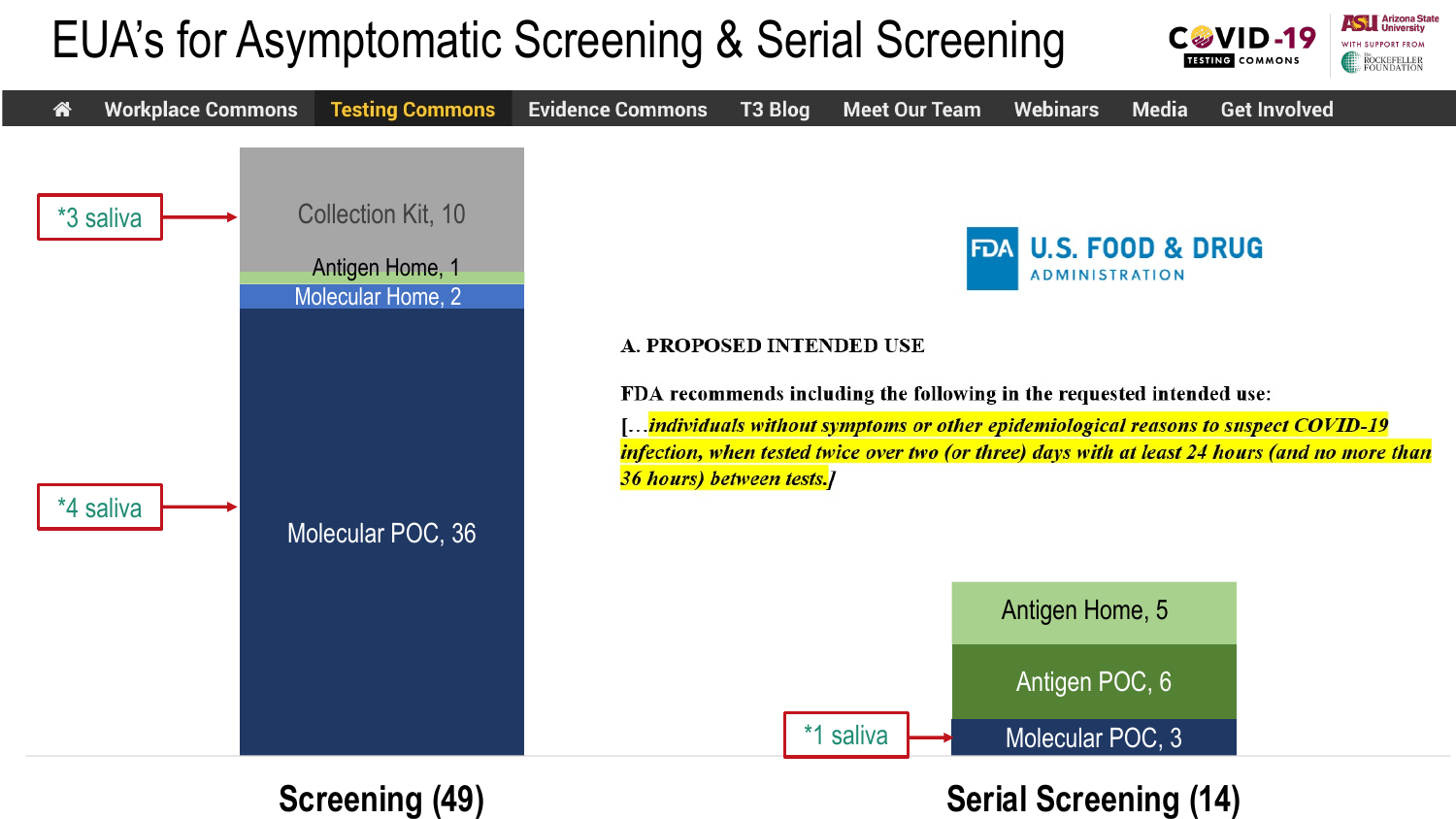#### EUA's for Asymptomatic Screening & Serial Screening



#### **Screening (49) Serial Screening (14)**

**Assembly** Arizona State

**ROCKEFELLER**<br>FOUNDATION

CGVID-19 **TESTING** COMMONS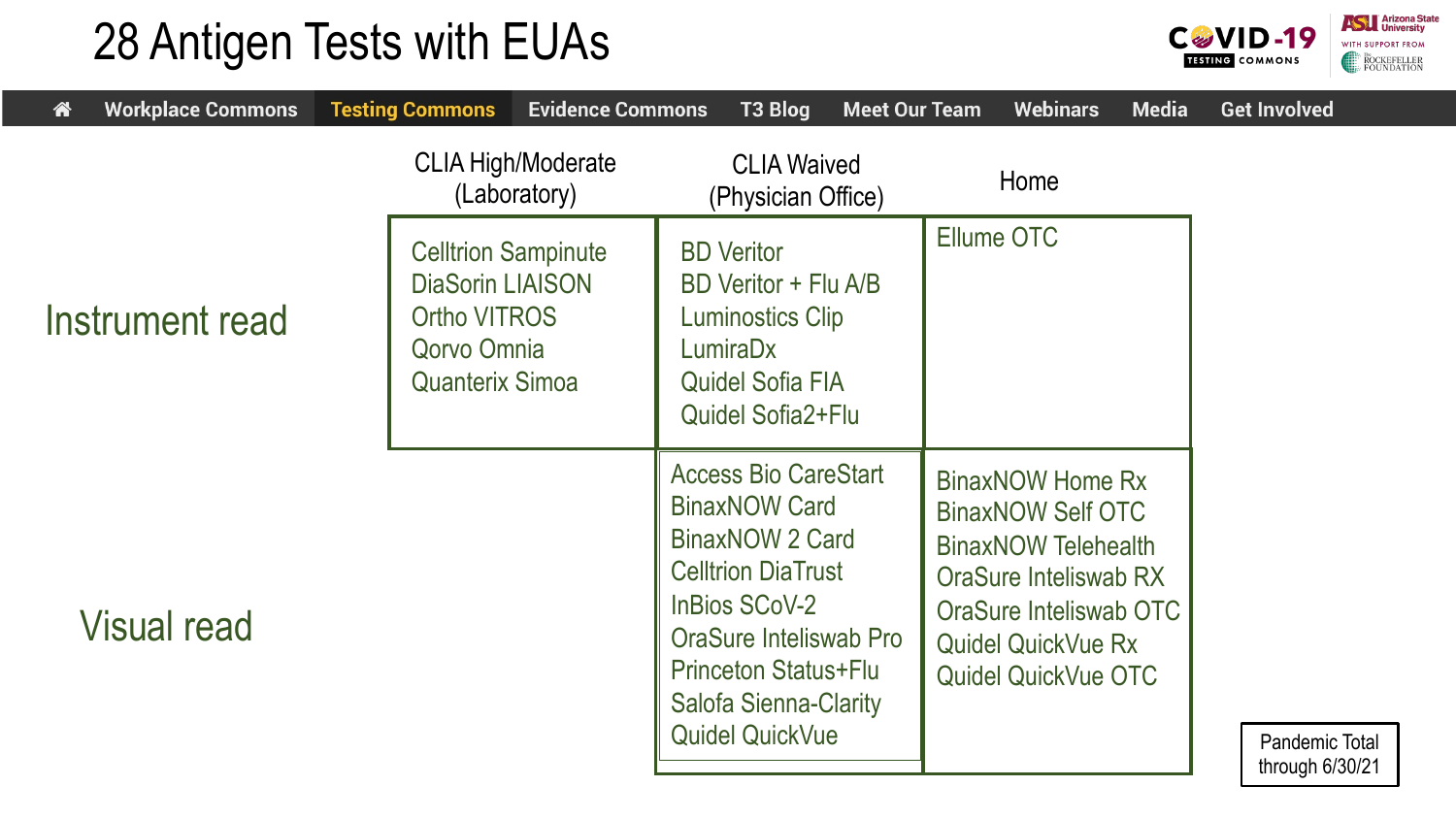#### 28 Antigen Tests with EUAs



| <b>Workplace Commons</b><br>袜 | <b>Testing Commons</b>                                                                                                | <b>Evidence Commons</b><br>T3 Blog                                                                                                                                                                                                             | <b>Meet Our Team</b> | <b>Webinars</b>                                                                                                                                                                                 | <b>Media</b> | <b>Get Involved</b>                        |
|-------------------------------|-----------------------------------------------------------------------------------------------------------------------|------------------------------------------------------------------------------------------------------------------------------------------------------------------------------------------------------------------------------------------------|----------------------|-------------------------------------------------------------------------------------------------------------------------------------------------------------------------------------------------|--------------|--------------------------------------------|
|                               | <b>CLIA High/Moderate</b><br>(Laboratory)                                                                             | <b>CLIA Waived</b><br>(Physician Office)                                                                                                                                                                                                       |                      | Home                                                                                                                                                                                            |              |                                            |
| Instrument read               | <b>Celltrion Sampinute</b><br><b>DiaSorin LIAISON</b><br><b>Ortho VITROS</b><br>Qorvo Omnia<br><b>Quanterix Simoa</b> | <b>BD Veritor</b><br>BD Veritor + Flu A/B<br><b>Luminostics Clip</b><br>LumiraDx<br><b>Quidel Sofia FIA</b><br><b>Quidel Sofia2+Flu</b>                                                                                                        |                      | <b>Ellume OTC</b>                                                                                                                                                                               |              |                                            |
| <b>Visual read</b>            |                                                                                                                       | <b>Access Bio CareStart</b><br><b>BinaxNOW Card</b><br>BinaxNOW 2 Card<br><b>Celltrion DiaTrust</b><br><b>InBios SCoV-2</b><br>OraSure Inteliswab Pro<br><b>Princeton Status+Flu</b><br><b>Salofa Sienna-Clarity</b><br><b>Quidel QuickVue</b> |                      | <b>BinaxNOW Home Rx</b><br><b>BinaxNOW Self OTC</b><br><b>BinaxNOW Telehealth</b><br>OraSure Inteliswab RX<br>OraSure Inteliswab OTC<br><b>Quidel QuickVue Rx</b><br><b>Quidel QuickVue OTC</b> |              | <b>Pandemic Total</b><br>through $6/30/21$ |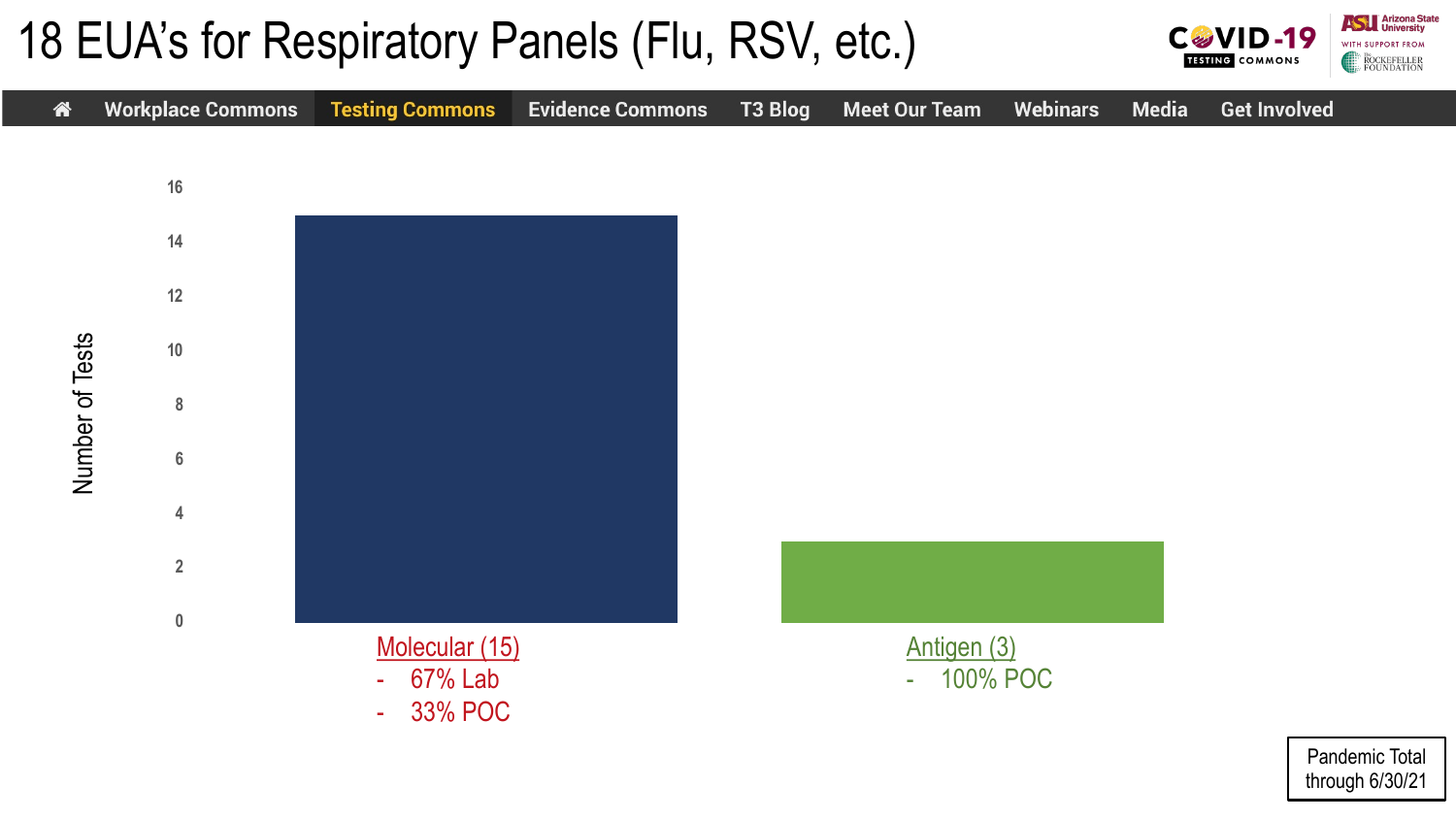#### 18 EUA's for Respiratory Panels (Flu, RSV, etc.)





through 6/30/21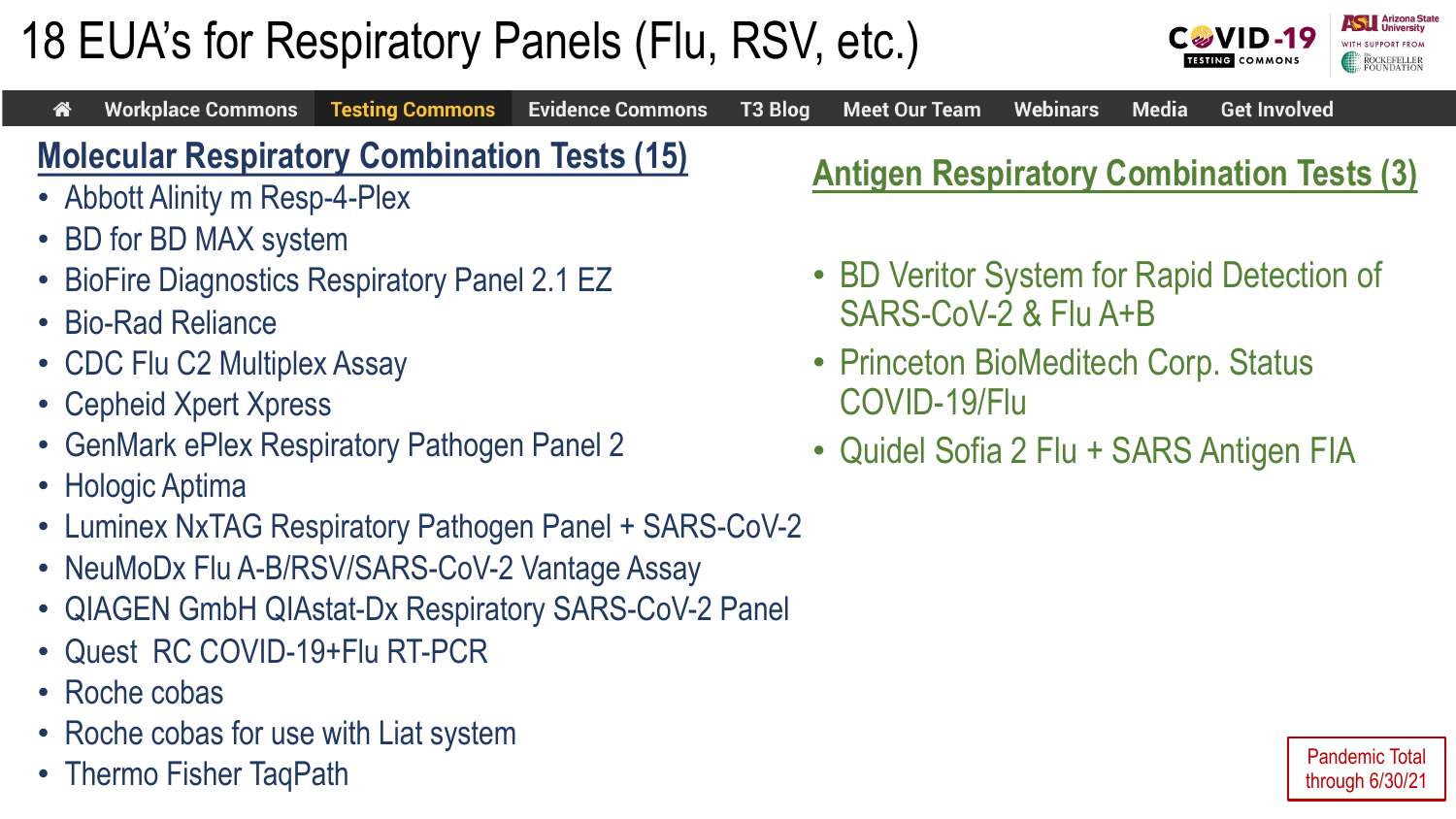#### Pandemic Total through 6/30/21

# 18 EUA's for Respiratory Panels (Flu, RSV, etc.)



**Evidence Commons** 

**T3 Blog** 

**Meet Our Team** 

- Bio-Rad Reliance
- CDC Flu C2 Multiplex Assay

**Workplace Commons** 

谷

- Cepheid Xpert Xpress
- GenMark ePlex Respiratory Pathogen Panel 2
- Hologic Aptima
- Luminex NxTAG Respiratory Pathogen Panel + SARS-CoV-2

**Testing Commons** 

- NeuMoDx Flu A-B/RSV/SARS-CoV-2 Vantage Assay
- QIAGEN GmbH QIAstat-Dx Respiratory SARS-CoV-2 Panel
- Quest RC COVID-19+Flu RT-PCR
- Roche cobas
- Roche cobas for use with Liat system
- Thermo Fisher TaqPath

**Antigen Respiratory Combination Tests (3)**

**Media** 

- BD Veritor System for Rapid Detection of SARS-CoV-2 & Flu A+B
- Princeton BioMeditech Corp. Status COVID-19/Flu

**Webinars** 

• Quidel Sofia 2 Flu + SARS Antigen FIA



**Get Involved**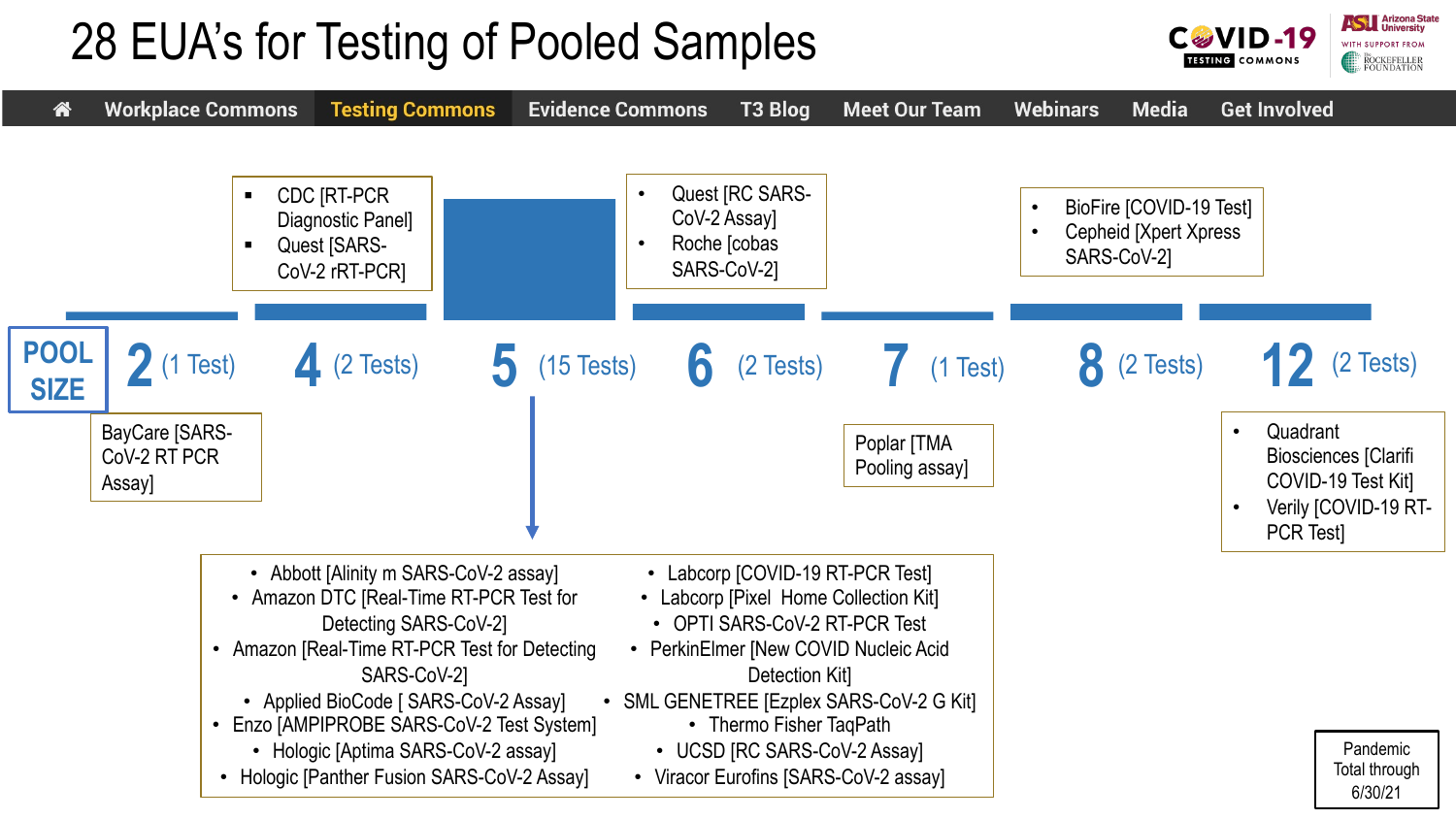## 28 EUA's for Testing of Pooled Samples

• Hologic [Aptima SARS-CoV-2 assay] • Hologic [Panther Fusion SARS-CoV-2 Assay]



• UCSD [RC SARS-CoV-2 Assay] • Viracor Eurofins [SARS-CoV-2 assay]

Pandemic Total through 6/30/21

**Anizona State** 

**ROCKEFELLER**<br>FOUNDATION

CØVID-19 **TESTING** COMMONS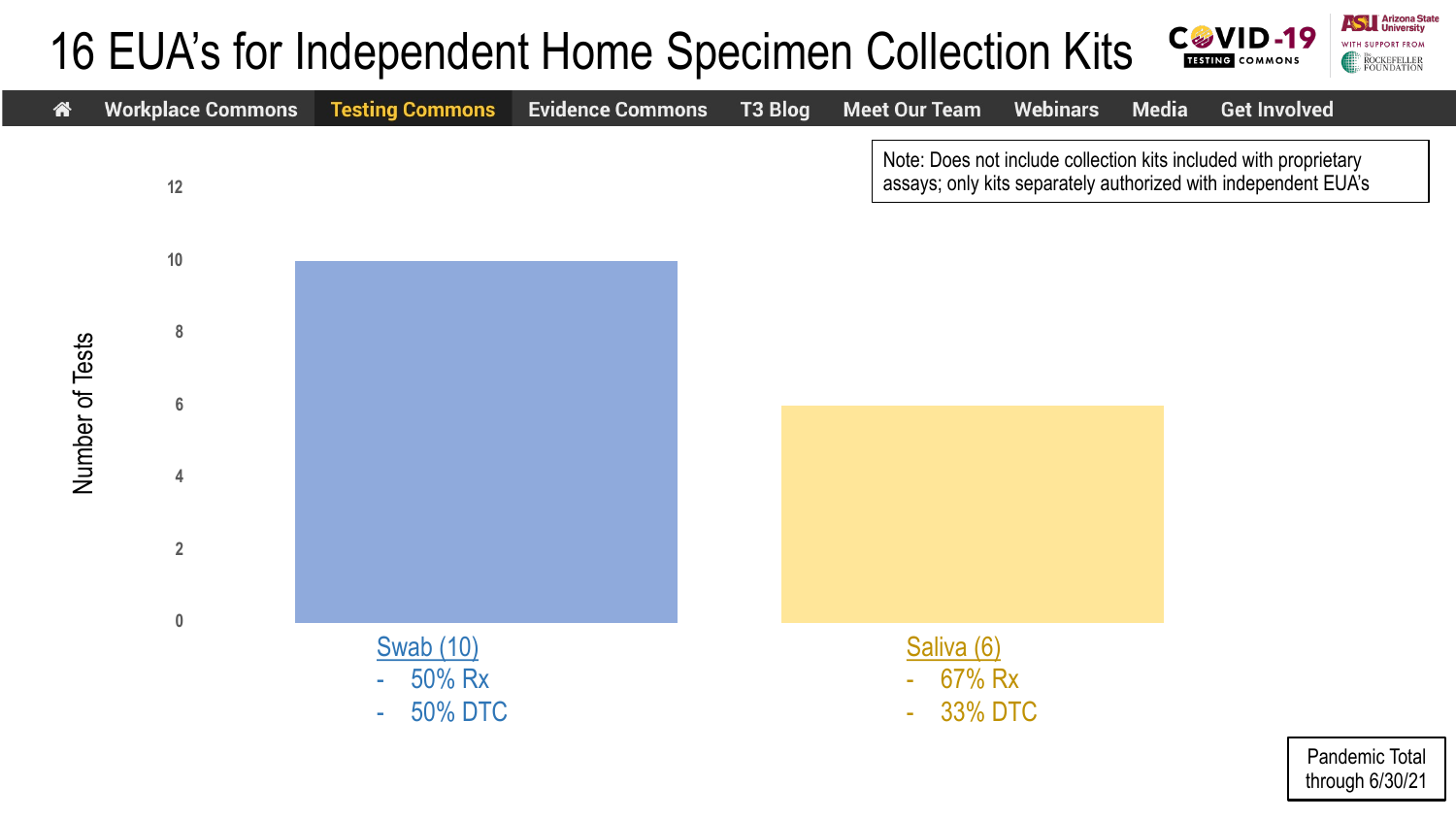#### **C&VID-19** 16 EUA's for Independent Home Specimen Collection Kits **TESTING COMMONS**



Pandemic Total through 6/30/21

**ASTERNATION** University

ROCKEFELLER<br>FOUNDATION

WITH SUPPORT FROM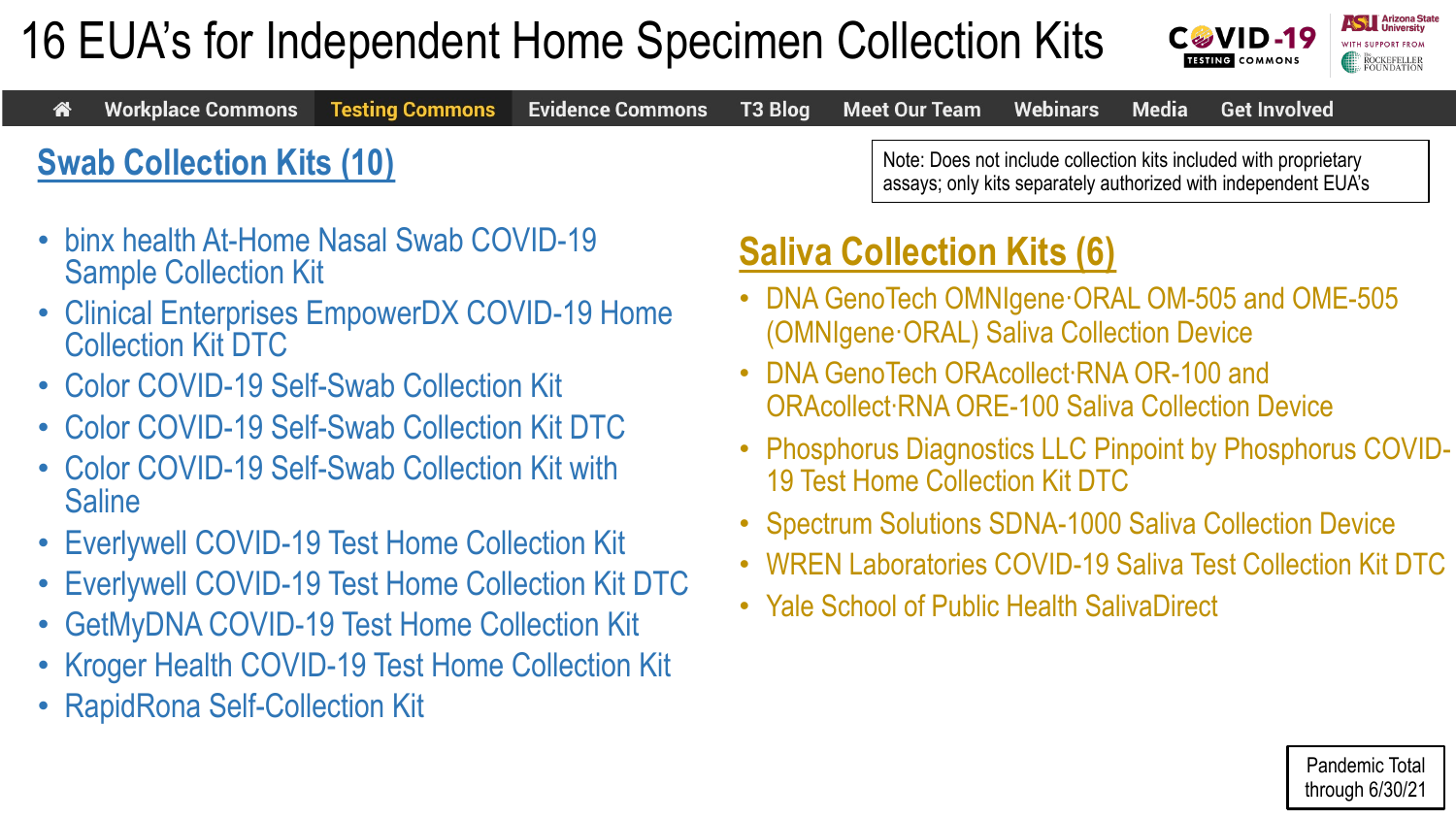## 16 EUA's for Independent Home Specimen Collection Kits



|                                  | « Workplace Commons Testing Commons Evidence Commons T3 Blog Meet Our Team Webinars Media Get Involved |  |  |  |                                                                                                                                    |  |  |
|----------------------------------|--------------------------------------------------------------------------------------------------------|--|--|--|------------------------------------------------------------------------------------------------------------------------------------|--|--|
| <b>Swab Collection Kits (10)</b> |                                                                                                        |  |  |  | Note: Does not include collection kits included with proprietary<br>assays; only kits separately authorized with independent EUA's |  |  |

- binx health At-Home Nasal Swab COVID-19 Sample Collection Kit
- Clinical Enterprises EmpowerDX COVID-19 Home Collection Kit DTC
- Color COVID-19 Self-Swab Collection Kit
- Color COVID-19 Self-Swab Collection Kit DTC
- Color COVID-19 Self-Swab Collection Kit with **Saline**
- Everlywell COVID-19 Test Home Collection Kit
- Everlywell COVID-19 Test Home Collection Kit DTC
- GetMyDNA COVID-19 Test Home Collection Kit
- Kroger Health COVID-19 Test Home Collection Kit
- RapidRona Self-Collection Kit

#### **Saliva Collection Kits (6)**

- DNA GenoTech OMNIgene·ORAL OM-505 and OME-505 (OMNIgene·ORAL) Saliva Collection Device
- DNA GenoTech ORAcollect·RNA OR-100 and ORAcollect·RNA ORE-100 Saliva Collection Device
- Phosphorus Diagnostics LLC Pinpoint by Phosphorus COVID-19 Test Home Collection Kit DTC
- Spectrum Solutions SDNA-1000 Saliva Collection Device
- WREN Laboratories COVID-19 Saliva Test Collection Kit DTC
- Yale School of Public Health SalivaDirect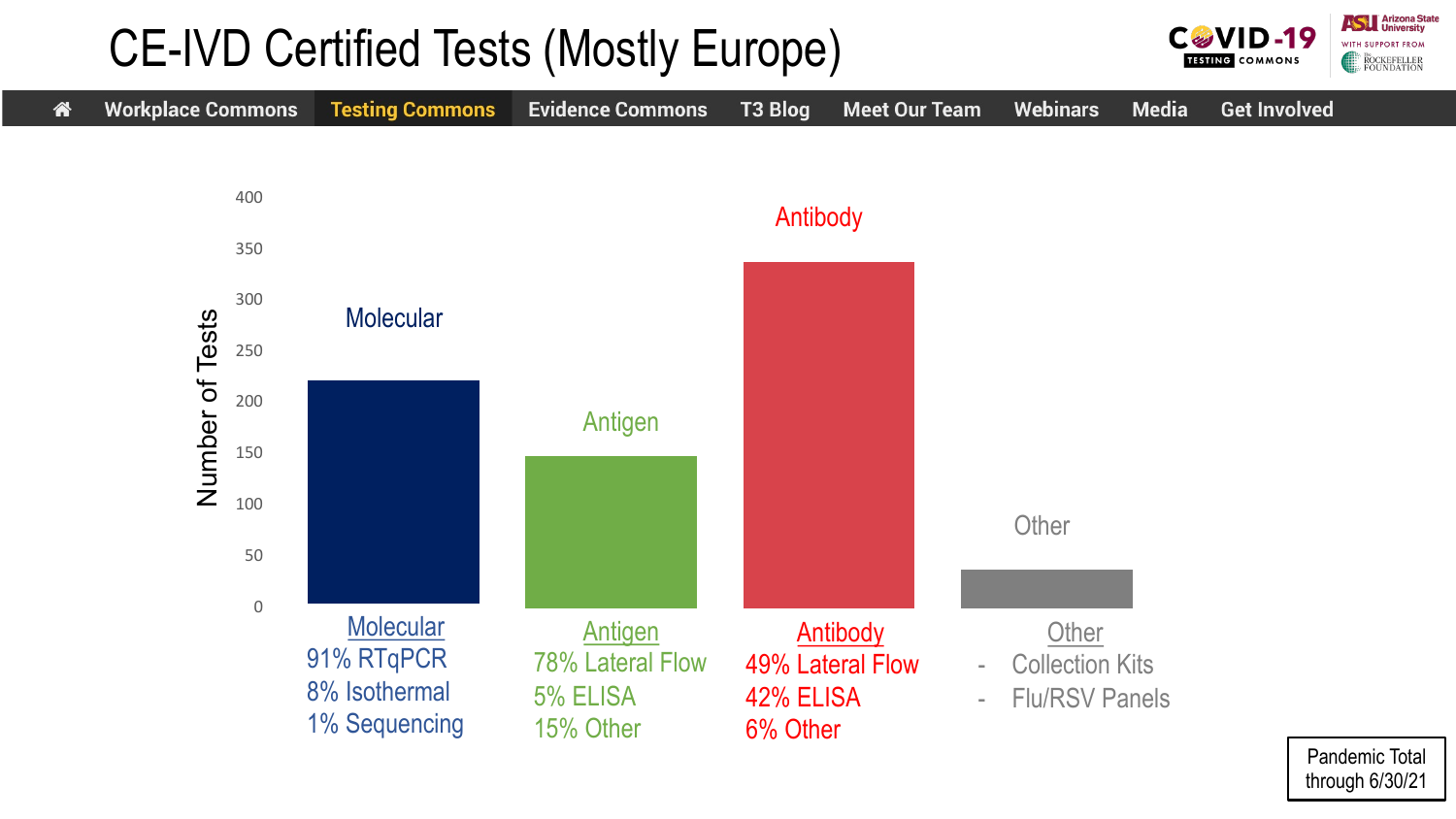### CE-IVD Certified Tests (Mostly Europe)



Pandemic Total through 6/30/21

**ASTERNATION** University

ROCKEFELLER<br>FOUNDATION

WITH SUPPORT FROM

**CGVID-19** 

**TESTING COMMONS**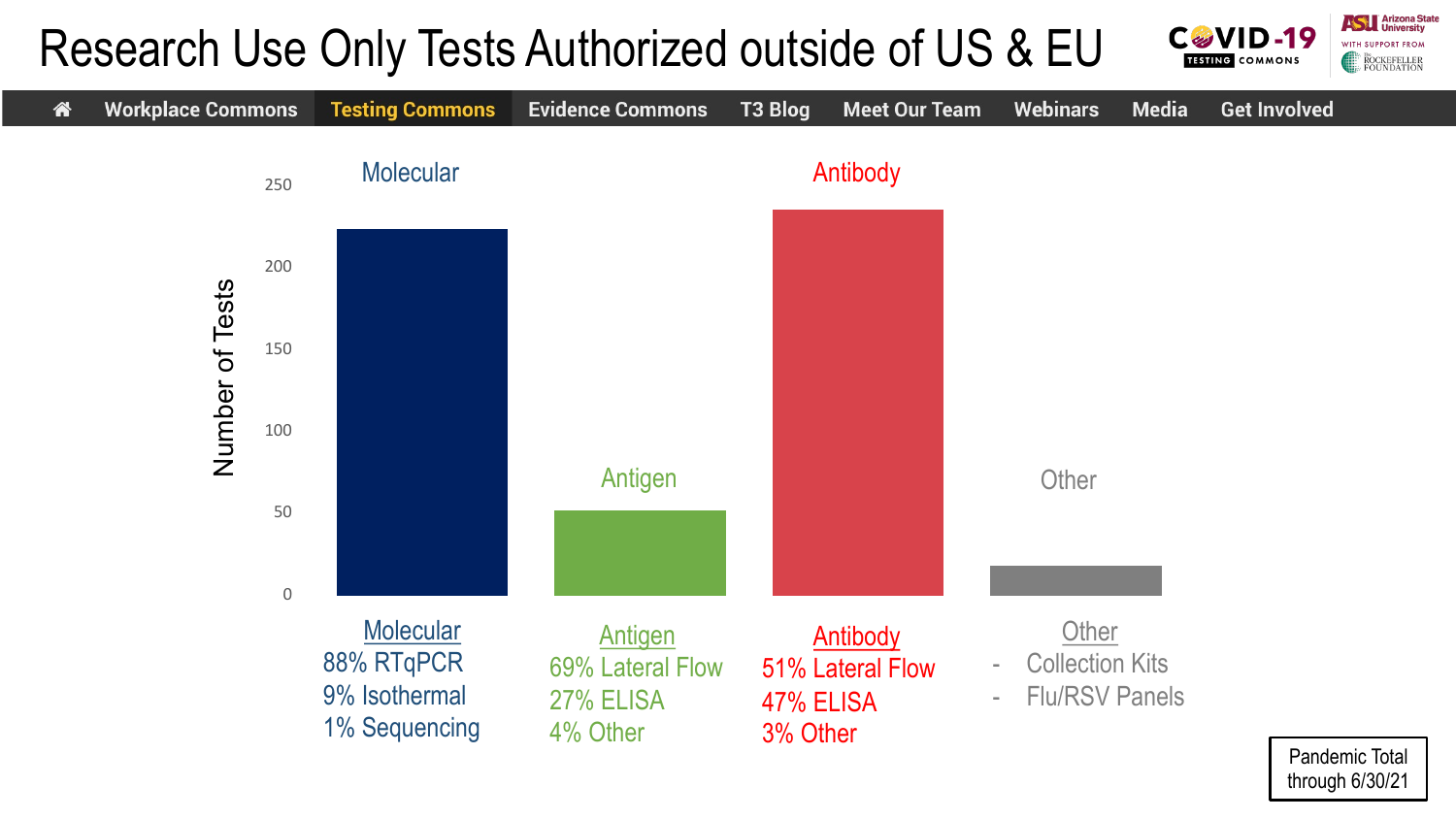#### **ASTERNATION** University **C**&VID-19 Research Use Only Tests Authorized outside of US & EU WITH SUPPORT FROM **TESTING** COMMONS

ROCKEFELLER<br>FOUNDATION

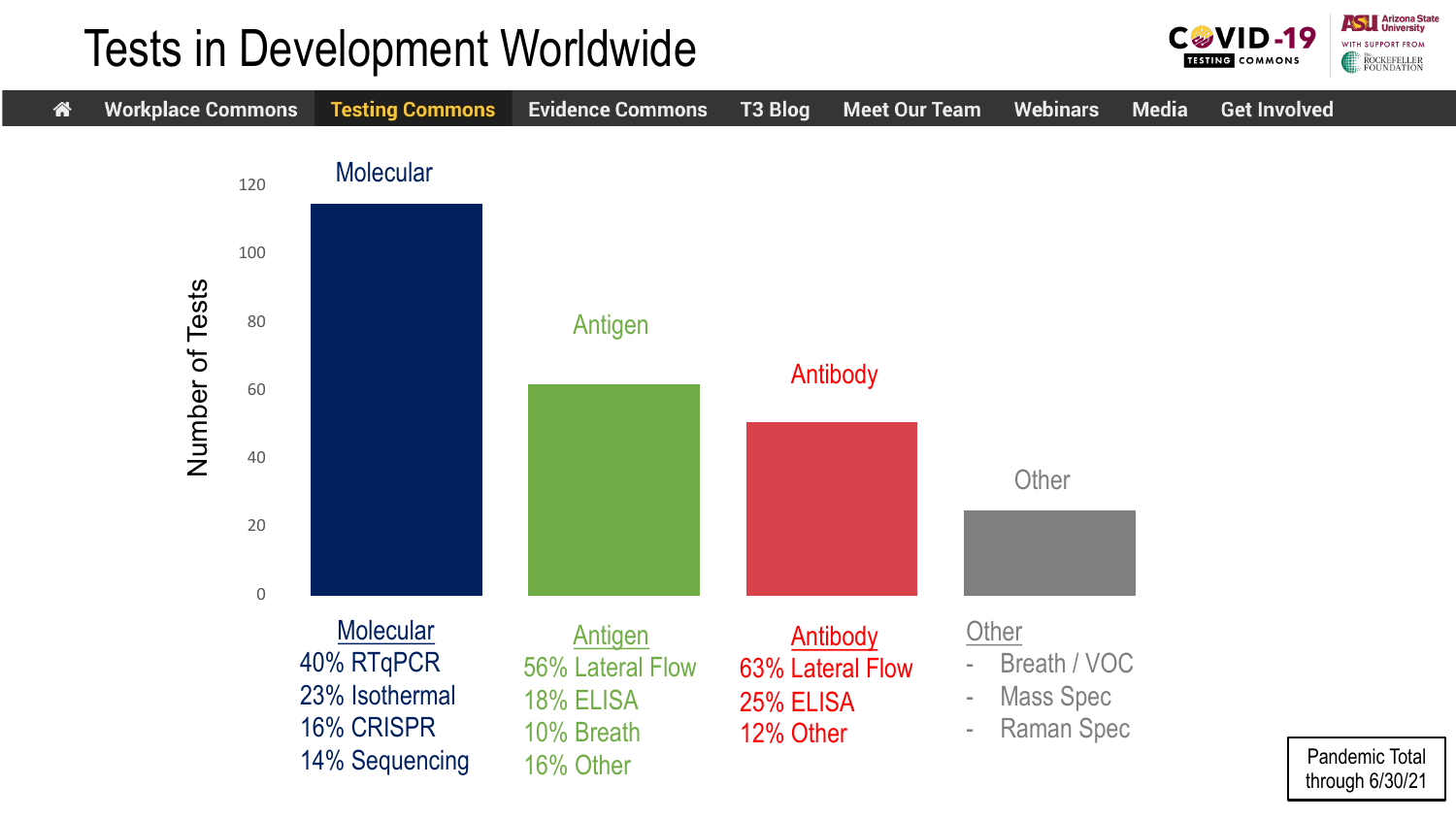#### Tests in Development Worldwide



**Assembly** Arizona State

**ROCKEFELLER**<br>FOUNDATION

WITH SUPPORT FROM

**CGVID-19** 

**TESTING COMMONS**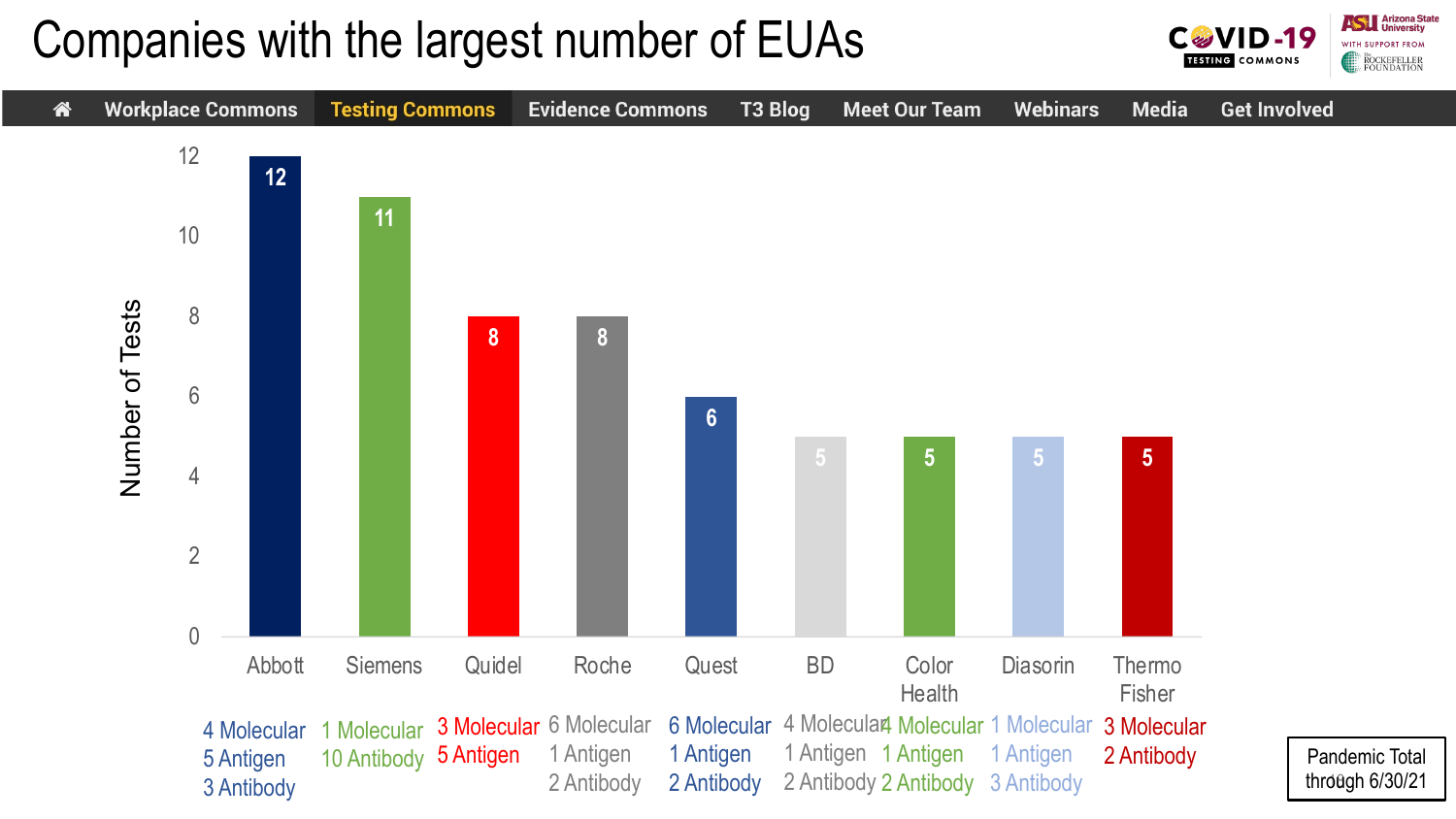#### Companies with the largest number of EUAs

**ASTERNATION** University CØVID-19 WITH SUPPORT FROM **TESTING COMMONS** ROCKEFELLER<br>FOUNDATION

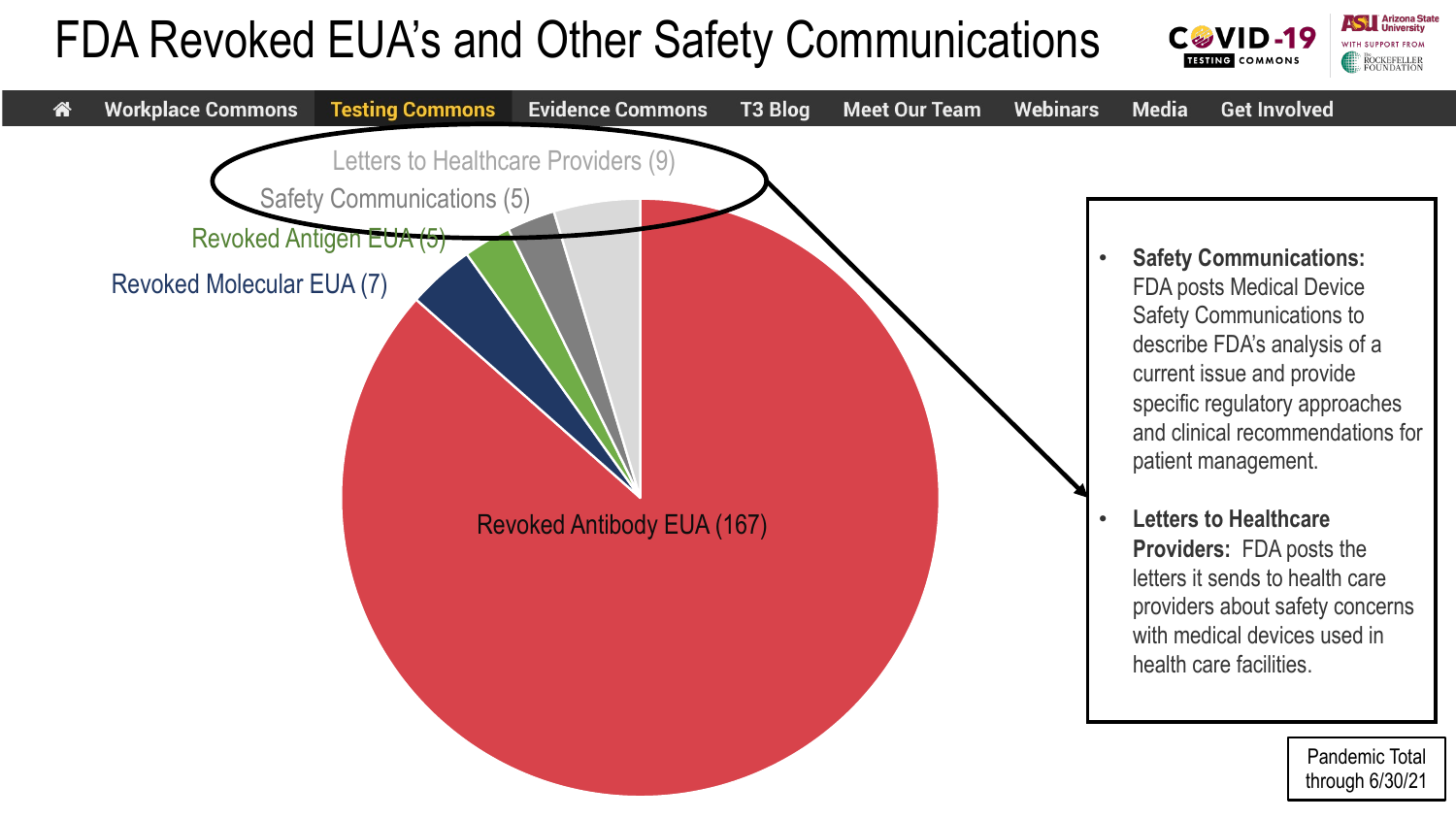### FDA Revoked EUA's and Other Safety Communications



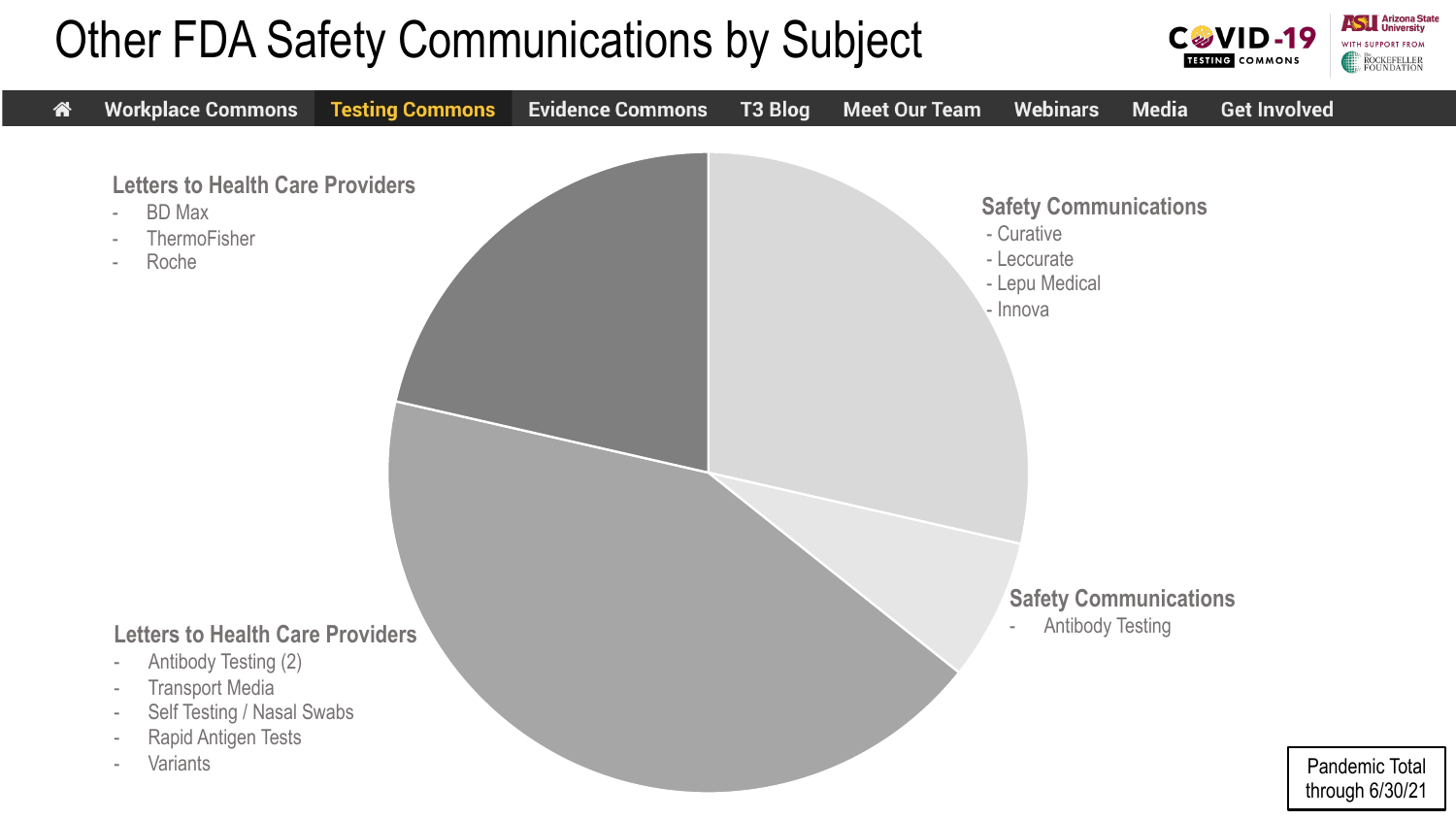### Other FDA Safety Communications by Subject



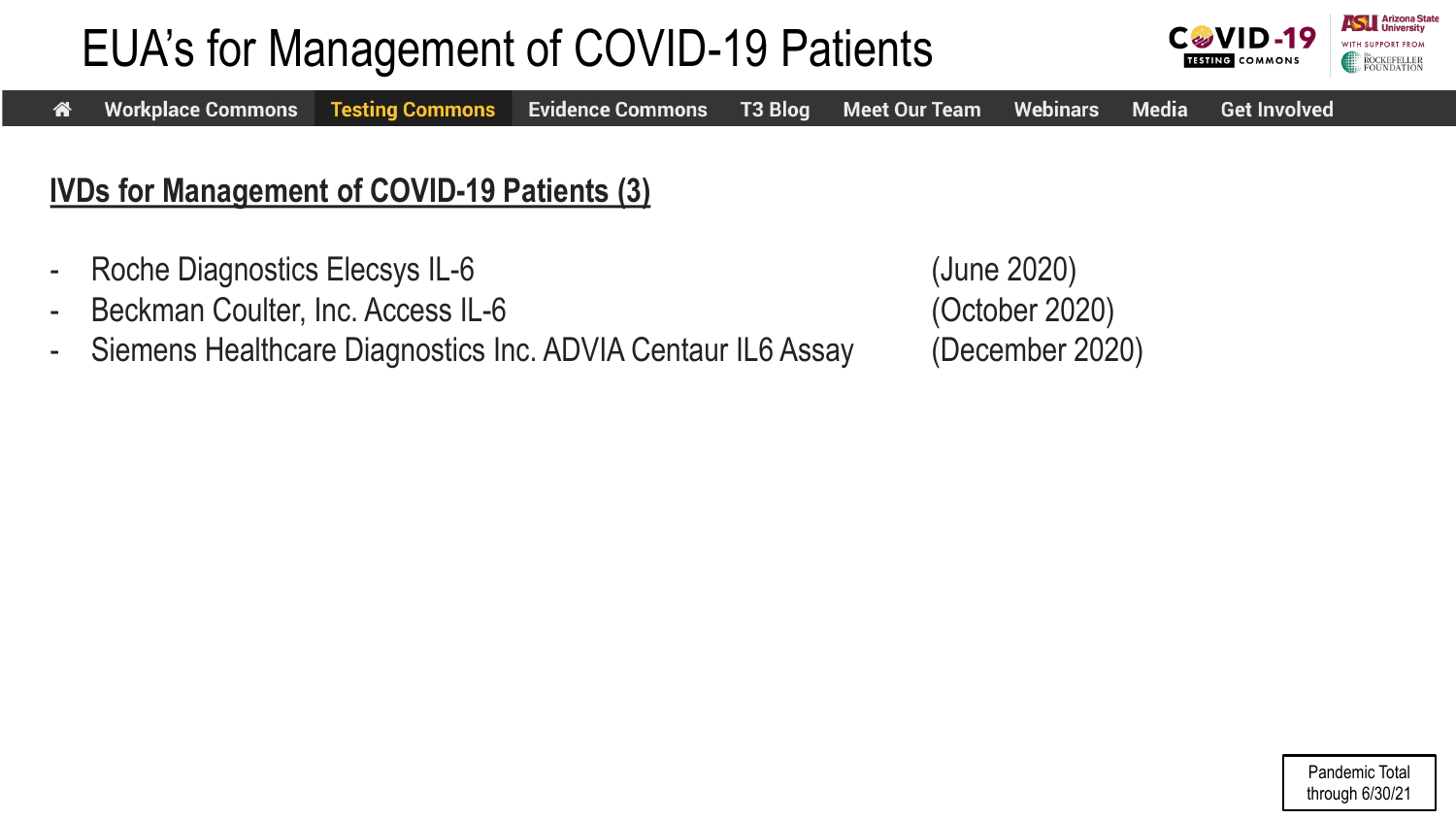## EUA's for Management of COVID-19 Patients





#### **IVDs for Management of COVID-19 Patients (3)**

- Roche Diagnostics Elecsys IL-6 (June 2020)
- Beckman Coulter, Inc. Access IL-6 (October 2020)
- Siemens Healthcare Diagnostics Inc. ADVIA Centaur IL6 Assay (December 2020)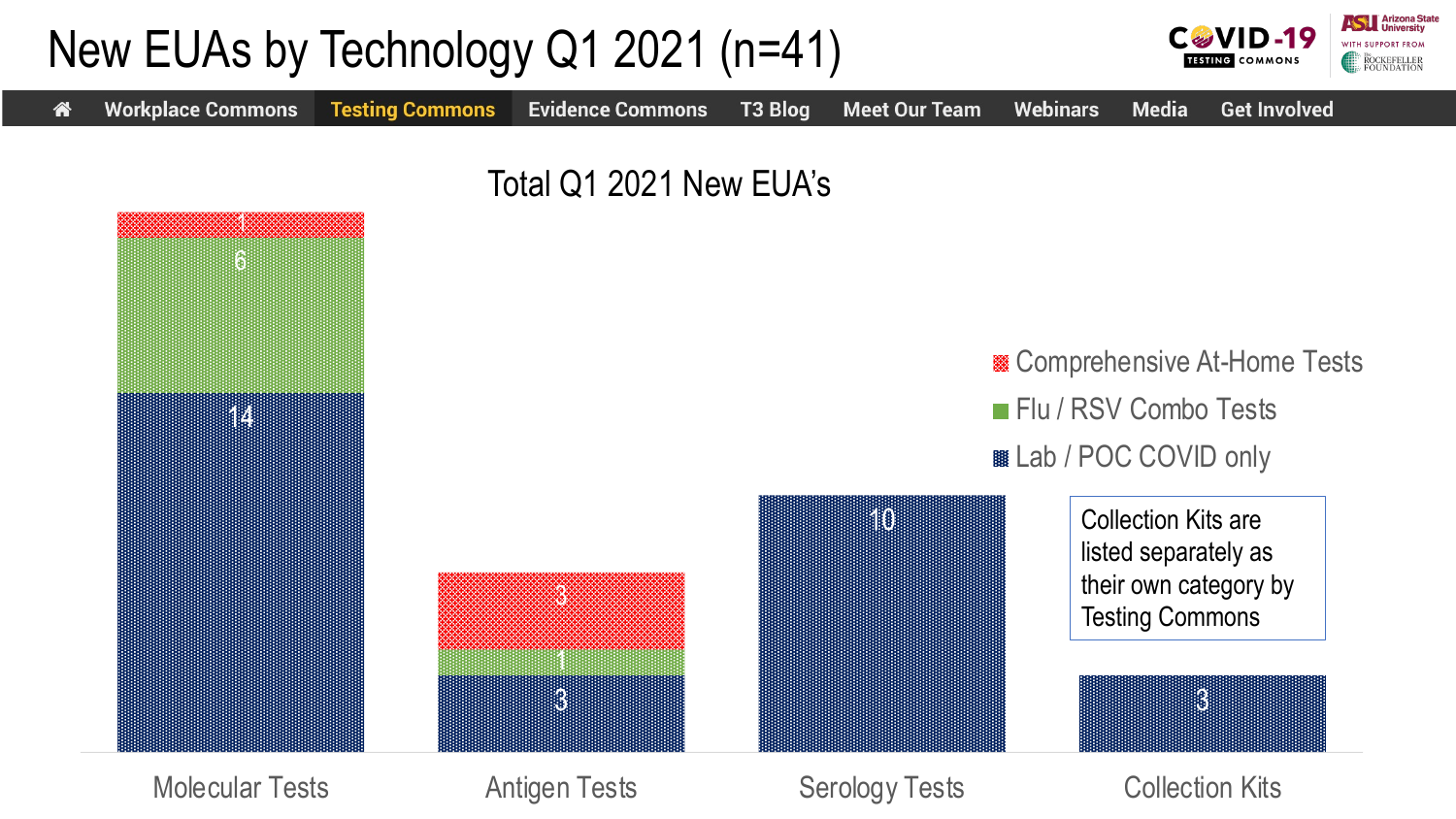

Molecular Tests **Antigen Tests** Serology Tests Collection Kits